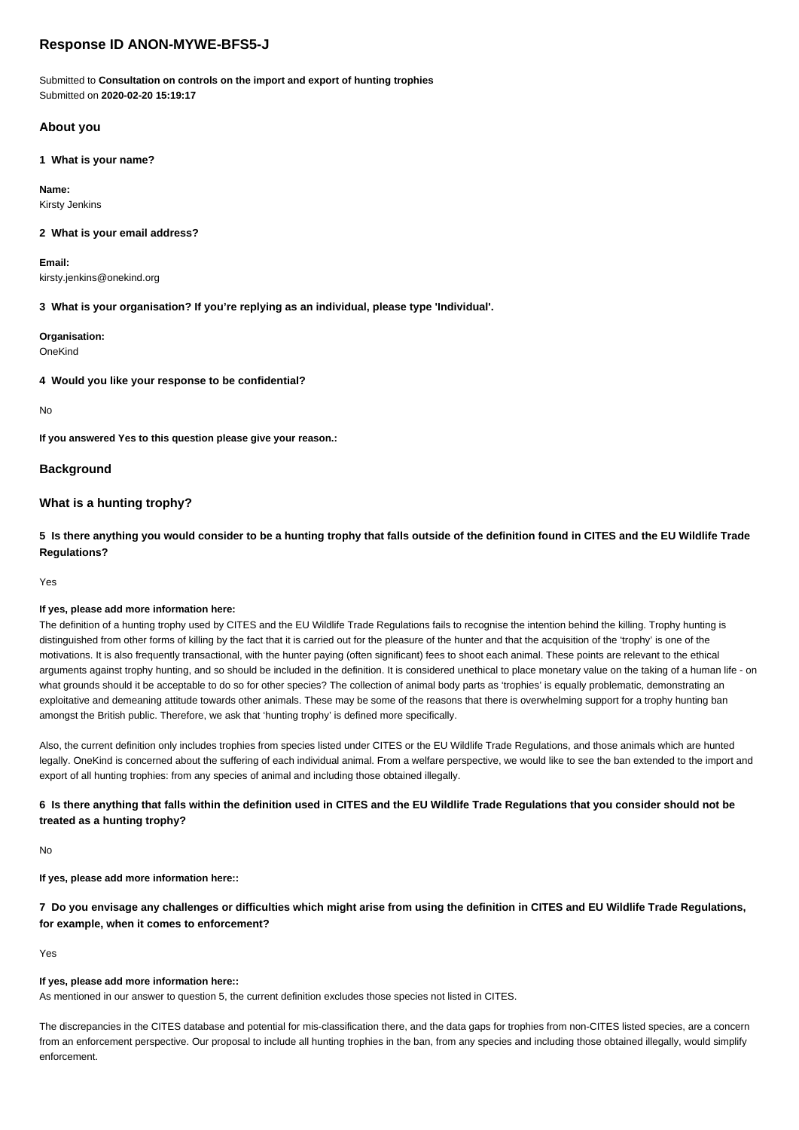# **Response ID ANON-MYWE-BFS5-J**

Submitted to **Consultation on controls on the import and export of hunting trophies** Submitted on **2020-02-20 15:19:17**

# **About you**

**1 What is your name?**

**Name:** Kirsty Jenkins

### **2 What is your email address?**

**Email:** kirsty.jenkins@onekind.org

**3 What is your organisation? If you're replying as an individual, please type 'Individual'.**

# **Organisation:**

OneKind

**4 Would you like your response to be confidential?**

No

**If you answered Yes to this question please give your reason.:**

### **Background**

# **What is a hunting trophy?**

**5 Is there anything you would consider to be a hunting trophy that falls outside of the definition found in CITES and the EU Wildlife Trade Regulations?**

Yes

### **If yes, please add more information here:**

The definition of a hunting trophy used by CITES and the EU Wildlife Trade Regulations fails to recognise the intention behind the killing. Trophy hunting is distinguished from other forms of killing by the fact that it is carried out for the pleasure of the hunter and that the acquisition of the 'trophy' is one of the motivations. It is also frequently transactional, with the hunter paying (often significant) fees to shoot each animal. These points are relevant to the ethical arguments against trophy hunting, and so should be included in the definition. It is considered unethical to place monetary value on the taking of a human life - on what grounds should it be acceptable to do so for other species? The collection of animal body parts as 'trophies' is equally problematic, demonstrating an exploitative and demeaning attitude towards other animals. These may be some of the reasons that there is overwhelming support for a trophy hunting ban amongst the British public. Therefore, we ask that 'hunting trophy' is defined more specifically.

Also, the current definition only includes trophies from species listed under CITES or the EU Wildlife Trade Regulations, and those animals which are hunted legally. OneKind is concerned about the suffering of each individual animal. From a welfare perspective, we would like to see the ban extended to the import and export of all hunting trophies: from any species of animal and including those obtained illegally.

**6 Is there anything that falls within the definition used in CITES and the EU Wildlife Trade Regulations that you consider should not be treated as a hunting trophy?**

No

**If yes, please add more information here::**

**7 Do you envisage any challenges or difficulties which might arise from using the definition in CITES and EU Wildlife Trade Regulations, for example, when it comes to enforcement?**

Yes

### **If yes, please add more information here::**

As mentioned in our answer to question 5, the current definition excludes those species not listed in CITES.

The discrepancies in the CITES database and potential for mis-classification there, and the data gaps for trophies from non-CITES listed species, are a concern from an enforcement perspective. Our proposal to include all hunting trophies in the ban, from any species and including those obtained illegally, would simplify enforcement.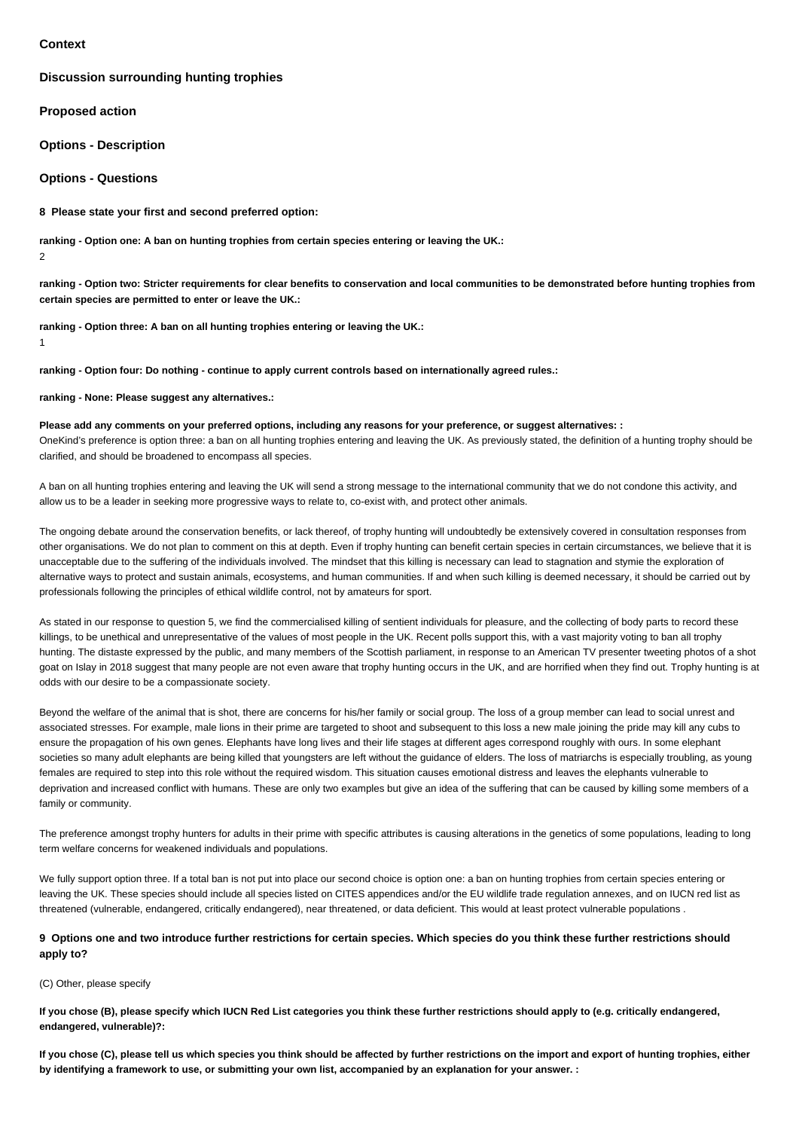### **Context**

1

### **Discussion surrounding hunting trophies**

**Proposed action**

**Options - Description**

**Options - Questions**

**8 Please state your first and second preferred option:**

**ranking - Option one: A ban on hunting trophies from certain species entering or leaving the UK.:** 2

**ranking - Option two: Stricter requirements for clear benefits to conservation and local communities to be demonstrated before hunting trophies from certain species are permitted to enter or leave the UK.:**

**ranking - Option three: A ban on all hunting trophies entering or leaving the UK.:**

**ranking - Option four: Do nothing - continue to apply current controls based on internationally agreed rules.:**

**ranking - None: Please suggest any alternatives.:**

**Please add any comments on your preferred options, including any reasons for your preference, or suggest alternatives: :**

OneKind's preference is option three: a ban on all hunting trophies entering and leaving the UK. As previously stated, the definition of a hunting trophy should be clarified, and should be broadened to encompass all species.

A ban on all hunting trophies entering and leaving the UK will send a strong message to the international community that we do not condone this activity, and allow us to be a leader in seeking more progressive ways to relate to, co-exist with, and protect other animals.

The ongoing debate around the conservation benefits, or lack thereof, of trophy hunting will undoubtedly be extensively covered in consultation responses from other organisations. We do not plan to comment on this at depth. Even if trophy hunting can benefit certain species in certain circumstances, we believe that it is unacceptable due to the suffering of the individuals involved. The mindset that this killing is necessary can lead to stagnation and stymie the exploration of alternative ways to protect and sustain animals, ecosystems, and human communities. If and when such killing is deemed necessary, it should be carried out by professionals following the principles of ethical wildlife control, not by amateurs for sport.

As stated in our response to question 5, we find the commercialised killing of sentient individuals for pleasure, and the collecting of body parts to record these killings, to be unethical and unrepresentative of the values of most people in the UK. Recent polls support this, with a vast majority voting to ban all trophy hunting. The distaste expressed by the public, and many members of the Scottish parliament, in response to an American TV presenter tweeting photos of a shot goat on Islay in 2018 suggest that many people are not even aware that trophy hunting occurs in the UK, and are horrified when they find out. Trophy hunting is at odds with our desire to be a compassionate society.

Beyond the welfare of the animal that is shot, there are concerns for his/her family or social group. The loss of a group member can lead to social unrest and associated stresses. For example, male lions in their prime are targeted to shoot and subsequent to this loss a new male joining the pride may kill any cubs to ensure the propagation of his own genes. Elephants have long lives and their life stages at different ages correspond roughly with ours. In some elephant societies so many adult elephants are being killed that youngsters are left without the guidance of elders. The loss of matriarchs is especially troubling, as young females are required to step into this role without the required wisdom. This situation causes emotional distress and leaves the elephants vulnerable to deprivation and increased conflict with humans. These are only two examples but give an idea of the suffering that can be caused by killing some members of a family or community.

The preference amongst trophy hunters for adults in their prime with specific attributes is causing alterations in the genetics of some populations, leading to long term welfare concerns for weakened individuals and populations.

We fully support option three. If a total ban is not put into place our second choice is option one: a ban on hunting trophies from certain species entering or leaving the UK. These species should include all species listed on CITES appendices and/or the EU wildlife trade regulation annexes, and on IUCN red list as threatened (vulnerable, endangered, critically endangered), near threatened, or data deficient. This would at least protect vulnerable populations .

# **9 Options one and two introduce further restrictions for certain species. Which species do you think these further restrictions should apply to?**

### (C) Other, please specify

**If you chose (B), please specify which IUCN Red List categories you think these further restrictions should apply to (e.g. critically endangered, endangered, vulnerable)?:**

**If you chose (C), please tell us which species you think should be affected by further restrictions on the import and export of hunting trophies, either by identifying a framework to use, or submitting your own list, accompanied by an explanation for your answer. :**